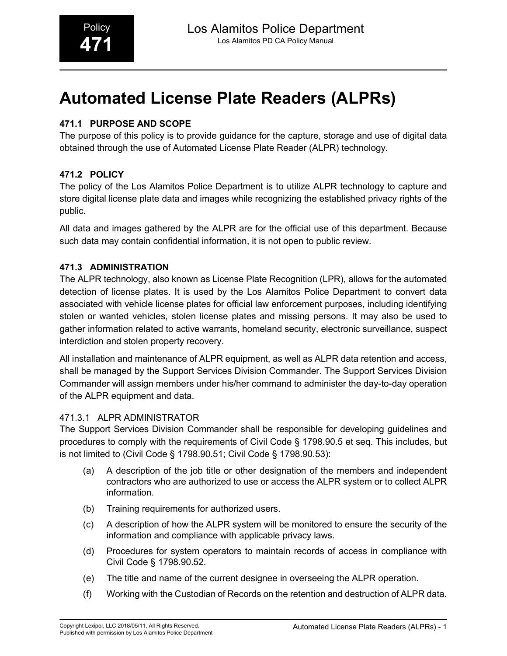# Automated License Plate Readers (ALPRs)

# 471.1 PURPOSE AND SCOPE

The purpose of this policy is to provide guidance for the capture, storage and use of digital data obtained through the use of Automated License Plate Reader (ALPR) technology.

## 471.2 POLICY

The policy of the Los Alamitos Police Department is to utilize ALPR technology to capture and store digital license plate data and images while recognizing the established privacy rights of the public.

All data and images gathered by the ALPR are for the official use of this department. Because such data may contain confidential information, it is not open to public review.

#### 471.3 ADMINISTRATION

The ALPR technology, also known as License Plate Recognition (LPR), allows for the automated detection of license plates. It is used by the Los Alamitos Police Department to convert data associated with vehicle license plates for official law enforcement purposes, including identifying stolen or wanted vehicles, stolen license plates and missing persons. It may also be used to gather information related to active warrants, homeland security, electronic surveillance, suspect interdiction and stolen property recovery. **ADMINISTRATION**<br>LPR technology, also known as License Plate Recognition (LPR), allows for the automated<br>ion of license plates it is used by the Los Alamitos Police Department to convert data<br>iated with vehicle license pla notion inclusion process. It is used by the Los Analinos Police Department and identified identified license plates for official law enforcement purposes, incertified or the values of the license plates and missing persons

All installation and maintenance of ALPR equipment, as well as ALPR data retention and access, shall be managed by the Support Services Division Commander. The Support Services Division Commander will assign members under his/her command to administer the day-to-day operation of the ALPR equipment and data. or wanted vehicles, stolen license plates and missing persons. It may also be used to<br>
information related to active warrants, homeland security, electronic surveillance, suspect<br>
triction and stolen property recovery.<br>
ta iation and stolen property recovery.<br>
tallation and maintenance of ALPR equipment, as well as ALPR data retention and access,<br>
the managed by the Support Services Division Commander. The Support Services Division<br>
nander w The title and many many the current designee in overseeing the ALPR operation.<br>
(a) The ADMINISTRATIOR<br>
ALPR equipment and data.<br>
1.1 ALPR ADMINISTRATIOR<br>
Support Services Division Commander shall be responsible for develo

#### 471.3.1 ALPR ADMINISTRATOR

The Support Services Division Commander shall be responsible for developing guidelines and procedures to comply with the requirements of Civil Code § 1798.90.5 et seq. This includes, but is not limited to (Civil Code § 1798.90.51; Civil Code § 1798.90.53): mander will assign members under his/her command to administer the day-to-day operation<br>
ALPR ADMINISTRATOR<br>
1.1 ALPR ADMINISTRATOR<br>
altroport Services Division Commander shall be responsible for developing guidelines and<br>

- contractors who are authorized to use or access the ALPR system or to collect ALPR information.
- 
- information and compliance with applicable privacy laws.
- Civil Code § 1798.90.52.
- 
-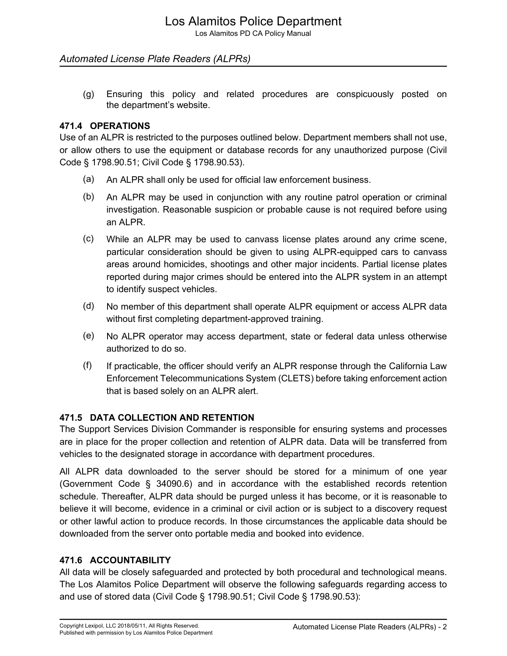Los Alamitos PD CA Policy Manual

## Automated License Plate Readers (ALPRs)

Los Alamitos Police Department<br>
Los Alamitos PD CA Policy Manual<br>
mated License Plate Readers (ALPRs)<br>
(g) Ensuring this policy and related procedures are conspicuously posted on<br>
the department's website.<br> **OPERATIONS**<br>
f the department's website.

#### 471.4 OPERATIONS

Use of an ALPR is restricted to the purposes outlined below. Department members shall not use, or allow others to use the equipment or database records for any unauthorized purpose (Civil Code § 1798.90.51; Civil Code § 1798.90.53).

- (a) An ALPR shall only be used for official law enforcement business.
- (b) An ALPR may be used in conjunction with any routine patrol operation or criminal investigation. Reasonable suspicion or probable cause is not required before using an ALPR.
- (c) While an ALPR may be used to canvass license plates around any crime scene, particular consideration should be given to using ALPR-equipped cars to canvass areas around homicides, shootings and other major incidents. Partial license plates reported during major crimes should be entered into the ALPR system in an attempt to identify suspect vehicles.
- (d) No member of this department shall operate ALPR equipment or access ALPR data without first completing department-approved training.
- (e) No ALPR operator may access department, state or federal data unless otherwise authorized to do so.
- (f) If practicable, the officer should verify an ALPR response through the California Law Enforcement Telecommunications System (CLETS) before taking enforcement action that is based solely on an ALPR alert.

#### 471.5 DATA COLLECTION AND RETENTION

The Support Services Division Commander is responsible for ensuring systems and processes are in place for the proper collection and retention of ALPR data. Data will be transferred from vehicles to the designated storage in accordance with department procedures.

All ALPR data downloaded to the server should be stored for a minimum of one year (Government Code § 34090.6) and in accordance with the established records retention schedule. Thereafter, ALPR data should be purged unless it has become, or it is reasonable to believe it will become, evidence in a criminal or civil action or is subject to a discovery request or other lawful action to produce records. In those circumstances the applicable data should be downloaded from the server onto portable media and booked into evidence.

#### 471.6 ACCOUNTABILITY

All data will be closely safeguarded and protected by both procedural and technological means. The Los Alamitos Police Department will observe the following safeguards regarding access to and use of stored data (Civil Code § 1798.90.51; Civil Code § 1798.90.53):